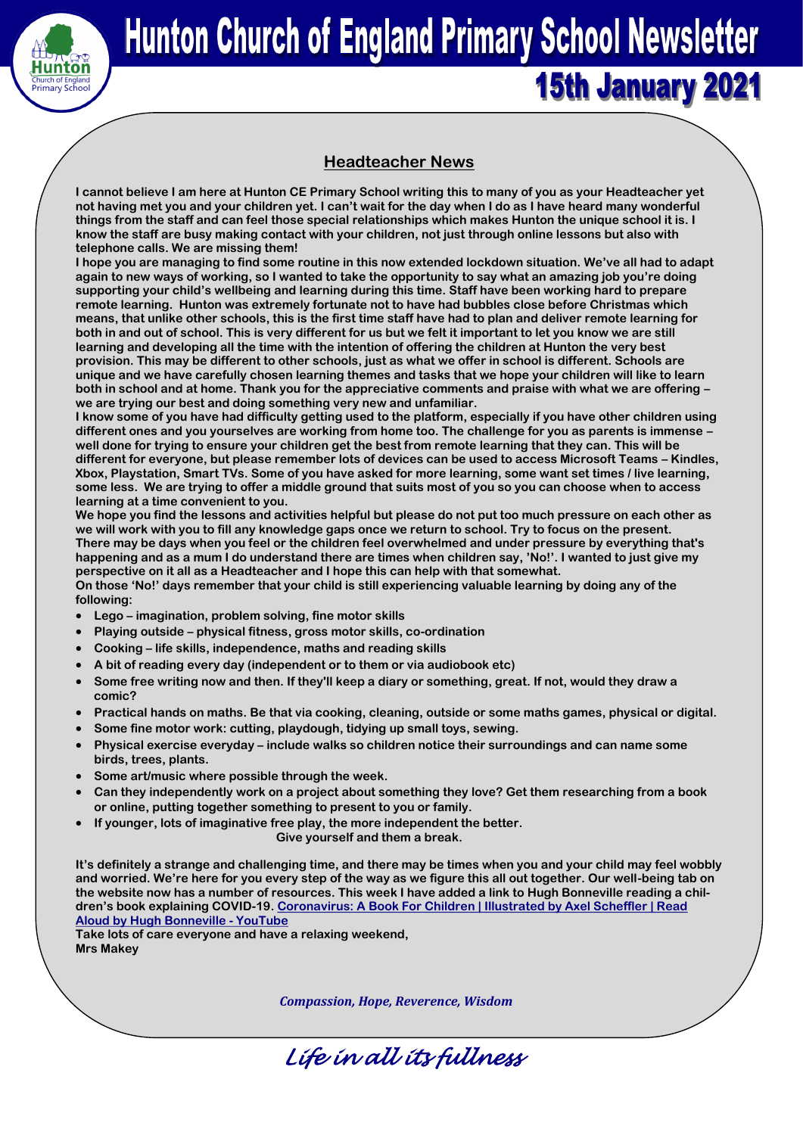

# **Hunton Church of England Primary School Newsletter 15th January 2021**

# **Headteacher News**

**I cannot believe I am here at Hunton CE Primary School writing this to many of you as your Headteacher yet not having met you and your children yet. I can't wait for the day when I do as I have heard many wonderful things from the staff and can feel those special relationships which makes Hunton the unique school it is. I know the staff are busy making contact with your children, not just through online lessons but also with telephone calls. We are missing them!**

**I hope you are managing to find some routine in this now extended lockdown situation. We've all had to adapt again to new ways of working, so I wanted to take the opportunity to say what an amazing job you're doing supporting your child's wellbeing and learning during this time. Staff have been working hard to prepare remote learning. Hunton was extremely fortunate not to have had bubbles close before Christmas which means, that unlike other schools, this is the first time staff have had to plan and deliver remote learning for both in and out of school. This is very different for us but we felt it important to let you know we are still learning and developing all the time with the intention of offering the children at Hunton the very best provision. This may be different to other schools, just as what we offer in school is different. Schools are unique and we have carefully chosen learning themes and tasks that we hope your children will like to learn both in school and at home. Thank you for the appreciative comments and praise with what we are offering – we are trying our best and doing something very new and unfamiliar.** 

**I know some of you have had difficulty getting used to the platform, especially if you have other children using different ones and you yourselves are working from home too. The challenge for you as parents is immense – well done for trying to ensure your children get the best from remote learning that they can. This will be different for everyone, but please remember lots of devices can be used to access Microsoft Teams – Kindles, Xbox, Playstation, Smart TVs. Some of you have asked for more learning, some want set times / live learning, some less. We are trying to offer a middle ground that suits most of you so you can choose when to access learning at a time convenient to you.** 

**We hope you find the lessons and activities helpful but please do not put too much pressure on each other as we will work with you to fill any knowledge gaps once we return to school. Try to focus on the present. There may be days when you feel or the children feel overwhelmed and under pressure by everything that's happening and as a mum I do understand there are times when children say, 'No!'. I wanted to just give my perspective on it all as a Headteacher and I hope this can help with that somewhat.**

**On those 'No!' days remember that your child is still experiencing valuable learning by doing any of the following:**

- **Lego – imagination, problem solving, fine motor skills**
- **Playing outside – physical fitness, gross motor skills, co-ordination**
- **Cooking – life skills, independence, maths and reading skills**
- **A bit of reading every day (independent or to them or via audiobook etc)**
- **Some free writing now and then. If they'll keep a diary or something, great. If not, would they draw a comic?**
- **Practical hands on maths. Be that via cooking, cleaning, outside or some maths games, physical or digital.**
- **Some fine motor work: cutting, playdough, tidying up small toys, sewing.**
- **Physical exercise everyday – include walks so children notice their surroundings and can name some birds, trees, plants.**
- **Some art/music where possible through the week.**
- **Can they independently work on a project about something they love? Get them researching from a book or online, putting together something to present to you or family.**
- **If younger, lots of imaginative free play, the more independent the better.**

 **Give yourself and them a break.**

**It's definitely a strange and challenging time, and there may be times when you and your child may feel wobbly and worried. We're here for you every step of the way as we figure this all out together. Our well-being tab on the website now has a number of resources. This week I have added a link to Hugh Bonneville reading a children's book explaining COVID-19. [Coronavirus: A Book For Children | Illustrated by Axel Scheffler | Read](https://www.youtube.com/watch?v=fCjDo9SskQU)  [Aloud by Hugh Bonneville -](https://www.youtube.com/watch?v=fCjDo9SskQU) YouTube**

**Take lots of care everyone and have a relaxing weekend, Mrs Makey**

*Compassion, Hope, Reverence, Wisdom*

*Life in all its fullness*